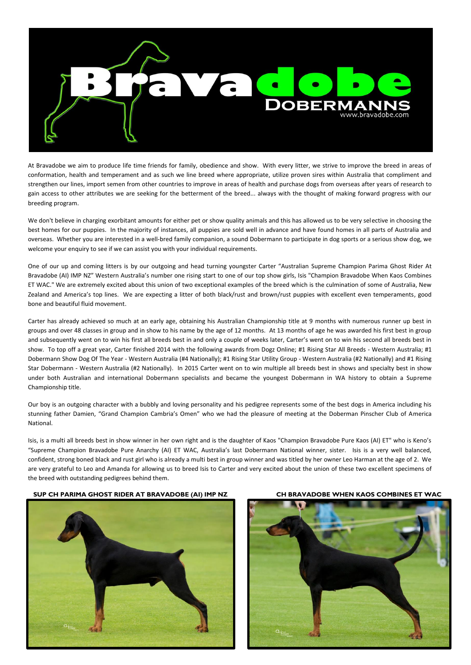

At Bravadobe we aim to produce life time friends for family, obedience and show. With every litter, we strive to improve the breed in areas of conformation, health and temperament and as such we line breed where appropriate, utilize proven sires within Australia that compliment and strengthen our lines, import semen from other countries to improve in areas of health and purchase dogs from overseas after years of research to gain access to other attributes we are seeking for the betterment of the breed... always with the thought of making forward progress with our breeding program.

We don't believe in charging exorbitant amounts for either pet or show quality animals and this has allowed us to be very selective in choosing the best homes for our puppies. In the majority of instances, all puppies are sold well in advance and have found homes in all parts of Australia and overseas. Whether you are interested in a well-bred family companion, a sound Dobermann to participate in dog sports or a serious show dog, we welcome your enquiry to see if we can assist you with your individual requirements.

One of our up and coming litters is by our outgoing and head turning youngster Carter "Australian Supreme Champion Parima Ghost Rider At Bravadobe (AI) IMP NZ" Western Australia's number one rising start to one of our top show girls, Isis "Champion Bravadobe When Kaos Combines ET WAC." We are extremely excited about this union of two exceptional examples of the breed which is the culmination of some of Australia, New Zealand and America's top lines. We are expecting a litter of both black/rust and brown/rust puppies with excellent even temperaments, good bone and beautiful fluid movement.

Carter has already achieved so much at an early age, obtaining his Australian Championship title at 9 months with numerous runner up best in groups and over 48 classes in group and in show to his name by the age of 12 months. At 13 months of age he was awarded his first best in group and subsequently went on to win his first all breeds best in and only a couple of weeks later, Carter's went on to win his second all breeds best in show. To top off a great year, Carter finished 2014 with the following awards from Dogz Online; #1 Rising Star All Breeds - Western Australia; #1 Dobermann Show Dog Of The Year - Western Australia (#4 Nationally); #1 Rising Star Utility Group - Western Australia (#2 Nationally) and #1 Rising Star Dobermann - Western Australia (#2 Nationally). In 2015 Carter went on to win multiple all breeds best in shows and specialty best in show under both Australian and international Dobermann specialists and became the youngest Dobermann in WA history to obtain a Supreme Championship title.

Our boy is an outgoing character with a bubbly and loving personality and his pedigree represents some of the best dogs in America including his stunning father Damien, "Grand Champion Cambria's Omen" who we had the pleasure of meeting at the Doberman Pinscher Club of America National.

Isis, is a multi all breeds best in show winner in her own right and is the daughter of Kaos "Champion Bravadobe Pure Kaos (AI) ET" who is Keno's "Supreme Champion Bravadobe Pure Anarchy (AI) ET WAC, Australia's last Dobermann National winner, sister. Isis is a very well balanced, confident, strong boned black and rust girl who is already a multi best in group winner and was titled by her owner Leo Harman at the age of 2. We are very grateful to Leo and Amanda for allowing us to breed Isis to Carter and very excited about the union of these two excellent specimens of the breed with outstanding pedigrees behind them.

## **SUP CH PARIMA GHOST RIDER AT BRAVADOBE (AI) IMP NZ CH BRAVADOBE WHEN KAOS COMBINES ET WAC**